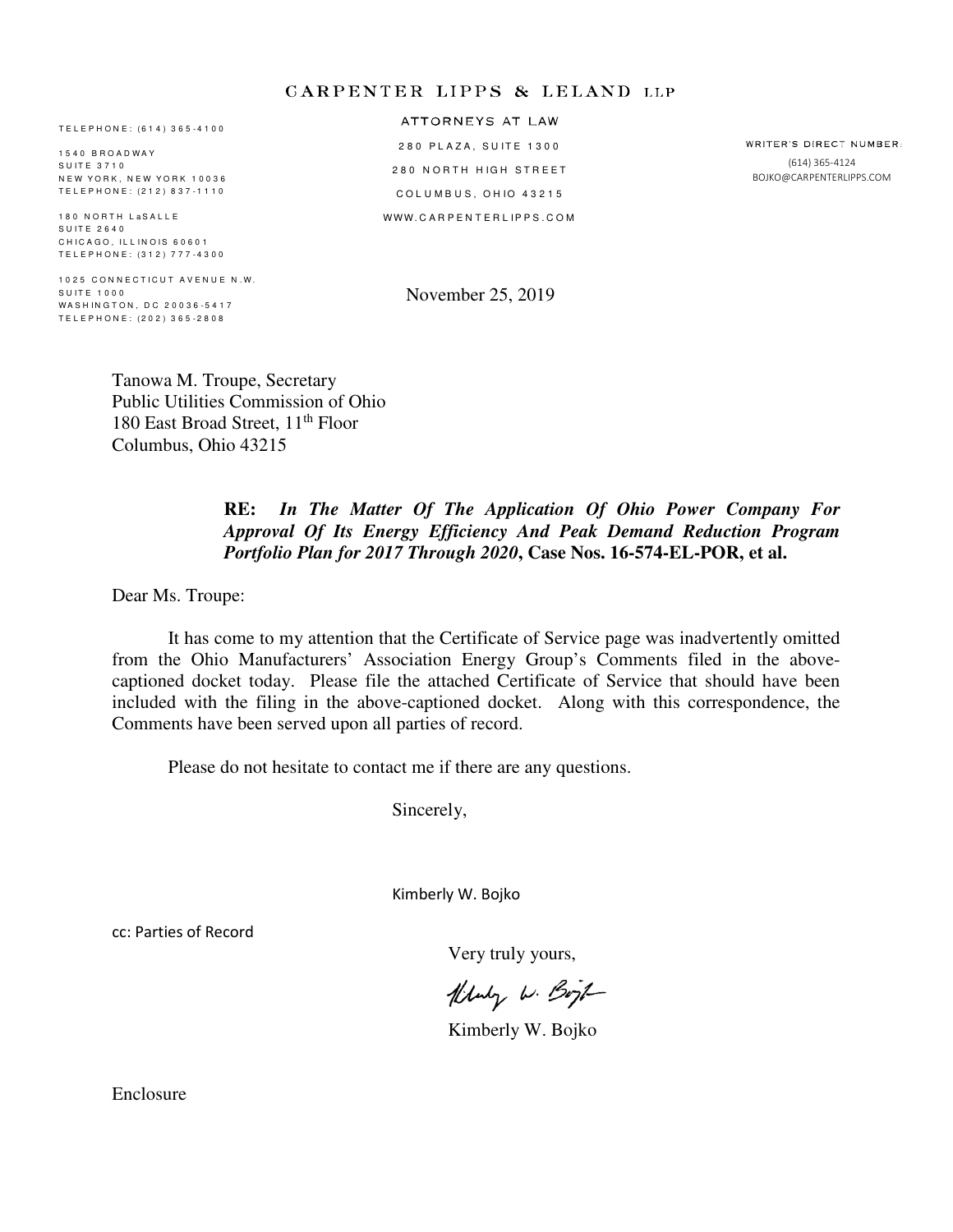#### **CARPENTER LIPPS & LELAND LLP**

T E L E P H O N E : ( 6 1 4 ) 3 6 5 - 4 1 0 0

1 5 4 0 B R O A D W A Y SUITE 3710 N E W Y O R K , N E W Y O R K 10036 T E L E P H O N E : ( 2 1 2 ) 8 3 7 - 1 1 1 0

180 NORTH LaSALLE S U I T E 2 6 4 0 CHICAGO, ILLINOIS 60601 T E L E P H O N E : ( 3 1 2 ) 7 7 7 - 4 3 0 0

1025 CONNECTICUT AVENUE N.W. S U IT E 1000 WA S H IN G T O N, D C 20036-5417 T E L E P H O N E : ( 2 0 2 ) 3 6 5 - 2 8 0 8

ATTORNEYS AT LAW 280 PLAZA, SUITE 1300 280 NORTH HIGH STREET COLUMBUS, OHIO 43215 WWW. CARPENTERLIPPS. COM

WRITER'S DIRECT NUMBER: (614) 365-4124 BOJKO@CARPENTERLIPPS.COM

November 25, 2019

Tanowa M. Troupe, Secretary Public Utilities Commission of Ohio 180 East Broad Street, 11th Floor Columbus, Ohio 43215

#### **RE:** *In The Matter Of The Application Of Ohio Power Company For Approval Of Its Energy Efficiency And Peak Demand Reduction Program Portfolio Plan for 2017 Through 2020***, Case Nos. 16-574-EL-POR, et al.**

Dear Ms. Troupe:

 It has come to my attention that the Certificate of Service page was inadvertently omitted from the Ohio Manufacturers' Association Energy Group's Comments filed in the abovecaptioned docket today. Please file the attached Certificate of Service that should have been included with the filing in the above-captioned docket. Along with this correspondence, the Comments have been served upon all parties of record.

Please do not hesitate to contact me if there are any questions.

Sincerely,

Kimberly W. Bojko

cc: Parties of Record

Very truly yours,

Hluly W. Boyt

Kimberly W. Bojko

Enclosure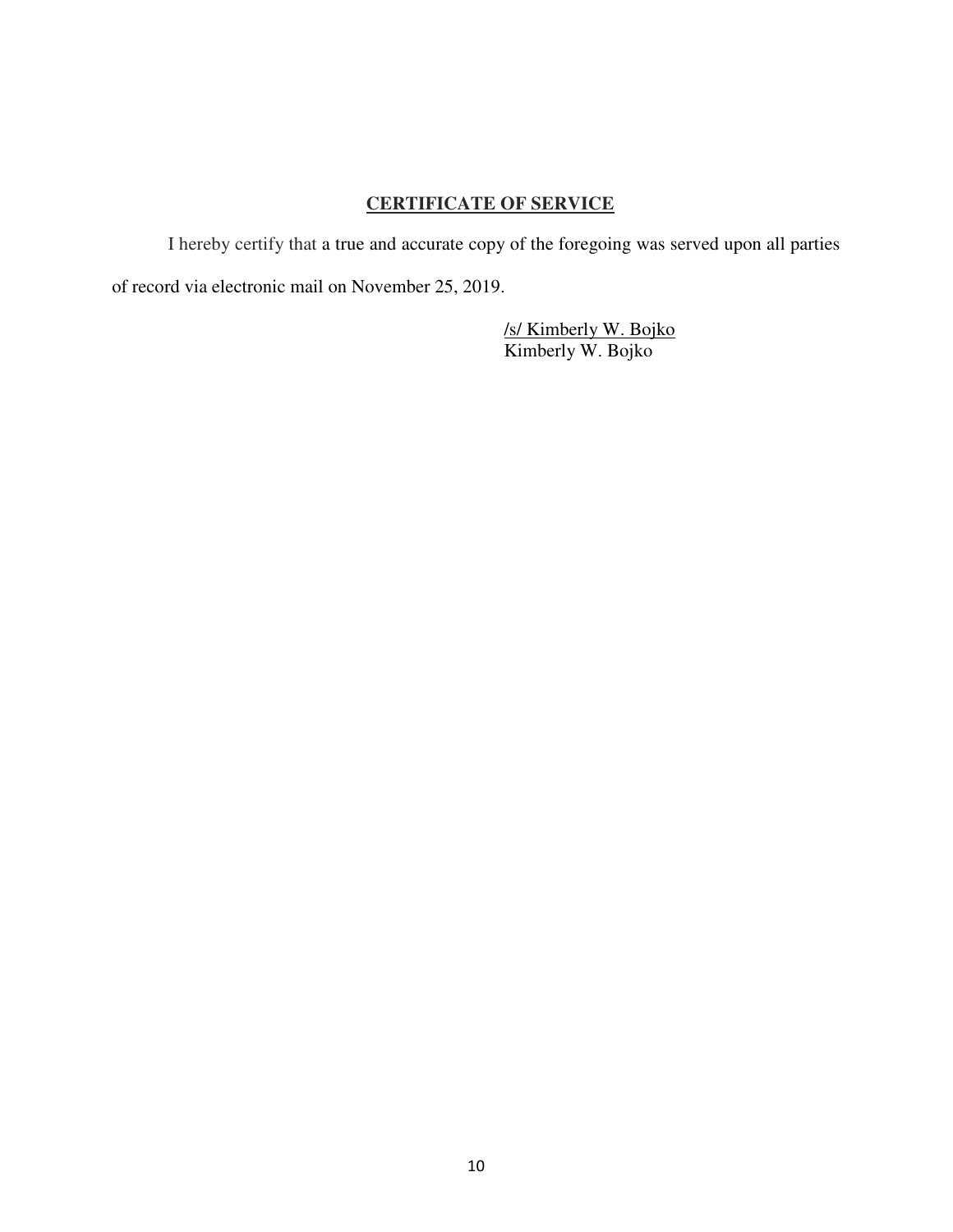### **CERTIFICATE OF SERVICE**

I hereby certify that a true and accurate copy of the foregoing was served upon all parties of record via electronic mail on November 25, 2019.

 /s/ Kimberly W. Bojko Kimberly W. Bojko